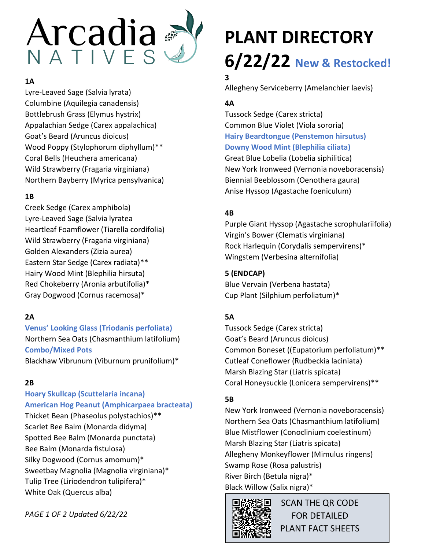

#### **1A**

Lyre-Leaved Sage (Salvia lyrata) Columbine (Aquilegia canadensis) Bottlebrush Grass (Elymus hystrix) Appalachian Sedge (Carex appalachica) Goat's Beard (Aruncus dioicus) Wood Poppy (Stylophorum diphyllum)\*\* Coral Bells (Heuchera americana) Wild Strawberry (Fragaria virginiana) Northern Bayberry (Myrica pensylvanica)

#### **1B**

Creek Sedge (Carex amphibola) Lyre-Leaved Sage (Salvia lyratea Heartleaf Foamflower (Tiarella cordifolia) Wild Strawberry (Fragaria virginiana) Golden Alexanders (Zizia aurea) Eastern Star Sedge (Carex radiata)\*\* Hairy Wood Mint (Blephilia hirsuta) Red Chokeberry (Aronia arbutifolia)\* Gray Dogwood (Cornus racemosa)\*

#### **2A**

**Venus' Looking Glass (Triodanis perfoliata)** Northern Sea Oats (Chasmanthium latifolium) **Combo/Mixed Pots** Blackhaw Vibrunum (Viburnum prunifolium)\*

#### **2B**

**Hoary Skullcap (Scuttelaria incana) American Hog Peanut (Amphicarpaea bracteata)** Thicket Bean (Phaseolus polystachios)\*\* Scarlet Bee Balm (Monarda didyma) Spotted Bee Balm (Monarda punctata) Bee Balm (Monarda fistulosa) Silky Dogwood (Cornus amomum)\* Sweetbay Magnolia (Magnolia virginiana)\* Tulip Tree (Liriodendron tulipifera)\* White Oak (Quercus alba)

*PAGE 1 OF 2 Updated 6/22/22*

# **PLANT DIRECTORY 6/22/22 New & Restocked!**

## **3**

Allegheny Serviceberry (Amelanchier laevis)

## **4A**

Tussock Sedge (Carex stricta) Common Blue Violet (Viola sororia) **Hairy Beardtongue (Penstemon hirsutus) Downy Wood Mint (Blephilia ciliata)** Great Blue Lobelia (Lobelia siphilitica) New York Ironweed (Vernonia noveboracensis) Biennial Beeblossom (Oenothera gaura) Anise Hyssop (Agastache foeniculum)

## **4B**

Purple Giant Hyssop (Agastache scrophulariifolia) Virgin's Bower (Clematis virginiana) Rock Harlequin (Corydalis sempervirens)\* Wingstem (Verbesina alternifolia)

#### **5 (ENDCAP)**

Blue Vervain (Verbena hastata) Cup Plant (Silphium perfoliatum)\*

## **5A**

Tussock Sedge (Carex stricta) Goat's Beard (Aruncus dioicus) Common Boneset ((Eupatorium perfoliatum)\*\* Cutleaf Coneflower (Rudbeckia laciniata) Marsh Blazing Star (Liatris spicata) Coral Honeysuckle (Lonicera sempervirens)\*\*

#### **5B**

New York Ironweed (Vernonia noveboracensis) Northern Sea Oats (Chasmanthium latifolium) Blue Mistflower (Conoclinium coelestinum) Marsh Blazing Star (Liatris spicata) Allegheny Monkeyflower (Mimulus ringens) Swamp Rose (Rosa palustris) River Birch (Betula nigra)\* Black Willow (Salix nigra)\*



SCAN THE QR CODE FOR DETAILED PLANT FACT SHEETS